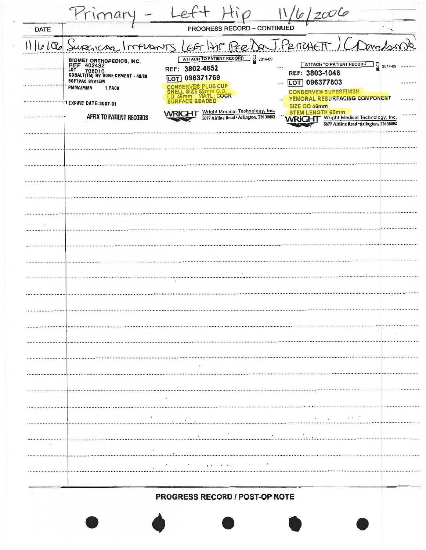|      | Primar                                                                                                                                                                                                                 |                                                                                                                                                                                                                                                    | 2006                                                                                                                                                                                                                                                                                       |  |  |  |  |  |
|------|------------------------------------------------------------------------------------------------------------------------------------------------------------------------------------------------------------------------|----------------------------------------------------------------------------------------------------------------------------------------------------------------------------------------------------------------------------------------------------|--------------------------------------------------------------------------------------------------------------------------------------------------------------------------------------------------------------------------------------------------------------------------------------------|--|--|--|--|--|
| DATE |                                                                                                                                                                                                                        | PROGRESS RECORD - CONTINUED                                                                                                                                                                                                                        |                                                                                                                                                                                                                                                                                            |  |  |  |  |  |
|      | 6100 Supericas<br>PER De J. PRITCHETT<br>m <sub>1</sub><br>meronis<br>LCF                                                                                                                                              |                                                                                                                                                                                                                                                    |                                                                                                                                                                                                                                                                                            |  |  |  |  |  |
|      | BIOMET ORTHOPEDICS, INC.<br>REF 402432<br>L0T 706010<br>706010<br>COBALT(TM) HV BONE CEMENT - 40/20<br><b>80FTPAC 8Y8TEM</b><br><b>PMMA/MMA</b><br><b>1 PACK</b><br>1 EXPIRE DATE: 2007-01<br>AFFIX TO PATIENT RECORDS | $2014-09$<br>ATTACH TO PATIENT RECORD<br>REF: 3802-4652<br>LOT 096371769<br><b>NSERVE® PLUS CUP</b><br>ELL SIZE 62mm O.D<br>46mm MATL: COCR<br><b>SURFACE BEADED</b><br>Wright Medical Technology, Inc.<br>5677 Airline Road . Arlington, TN 38002 | ATTACH TO PATIENT RECORD<br>$2014-09$<br><br><br>REF: 3803-1046<br>LOT 096377803<br><br><br><b>CONSERVE® SUPERFINISH</b><br>FEMORAL RESURFACING COMPONENT<br><br>SIZE OD 46mm<br><b>STEM LENGTH 65mm</b><br><br>Wright Medical Technology, Inc.<br>5677 Airline Road . Arlington, TN 38002 |  |  |  |  |  |
|      |                                                                                                                                                                                                                        |                                                                                                                                                                                                                                                    |                                                                                                                                                                                                                                                                                            |  |  |  |  |  |
|      |                                                                                                                                                                                                                        |                                                                                                                                                                                                                                                    |                                                                                                                                                                                                                                                                                            |  |  |  |  |  |
|      |                                                                                                                                                                                                                        |                                                                                                                                                                                                                                                    |                                                                                                                                                                                                                                                                                            |  |  |  |  |  |
|      |                                                                                                                                                                                                                        |                                                                                                                                                                                                                                                    |                                                                                                                                                                                                                                                                                            |  |  |  |  |  |
|      |                                                                                                                                                                                                                        |                                                                                                                                                                                                                                                    |                                                                                                                                                                                                                                                                                            |  |  |  |  |  |
|      |                                                                                                                                                                                                                        |                                                                                                                                                                                                                                                    |                                                                                                                                                                                                                                                                                            |  |  |  |  |  |
|      |                                                                                                                                                                                                                        |                                                                                                                                                                                                                                                    |                                                                                                                                                                                                                                                                                            |  |  |  |  |  |
|      |                                                                                                                                                                                                                        | $\bullet$                                                                                                                                                                                                                                          |                                                                                                                                                                                                                                                                                            |  |  |  |  |  |
|      |                                                                                                                                                                                                                        |                                                                                                                                                                                                                                                    |                                                                                                                                                                                                                                                                                            |  |  |  |  |  |
|      |                                                                                                                                                                                                                        |                                                                                                                                                                                                                                                    |                                                                                                                                                                                                                                                                                            |  |  |  |  |  |
|      |                                                                                                                                                                                                                        |                                                                                                                                                                                                                                                    |                                                                                                                                                                                                                                                                                            |  |  |  |  |  |
|      |                                                                                                                                                                                                                        |                                                                                                                                                                                                                                                    |                                                                                                                                                                                                                                                                                            |  |  |  |  |  |
|      |                                                                                                                                                                                                                        |                                                                                                                                                                                                                                                    |                                                                                                                                                                                                                                                                                            |  |  |  |  |  |
|      |                                                                                                                                                                                                                        |                                                                                                                                                                                                                                                    |                                                                                                                                                                                                                                                                                            |  |  |  |  |  |
|      |                                                                                                                                                                                                                        |                                                                                                                                                                                                                                                    |                                                                                                                                                                                                                                                                                            |  |  |  |  |  |
|      |                                                                                                                                                                                                                        |                                                                                                                                                                                                                                                    |                                                                                                                                                                                                                                                                                            |  |  |  |  |  |
|      |                                                                                                                                                                                                                        |                                                                                                                                                                                                                                                    |                                                                                                                                                                                                                                                                                            |  |  |  |  |  |
|      |                                                                                                                                                                                                                        |                                                                                                                                                                                                                                                    |                                                                                                                                                                                                                                                                                            |  |  |  |  |  |
|      |                                                                                                                                                                                                                        |                                                                                                                                                                                                                                                    |                                                                                                                                                                                                                                                                                            |  |  |  |  |  |
|      |                                                                                                                                                                                                                        | PROGRESS RECORD / POST-OP NOTE                                                                                                                                                                                                                     |                                                                                                                                                                                                                                                                                            |  |  |  |  |  |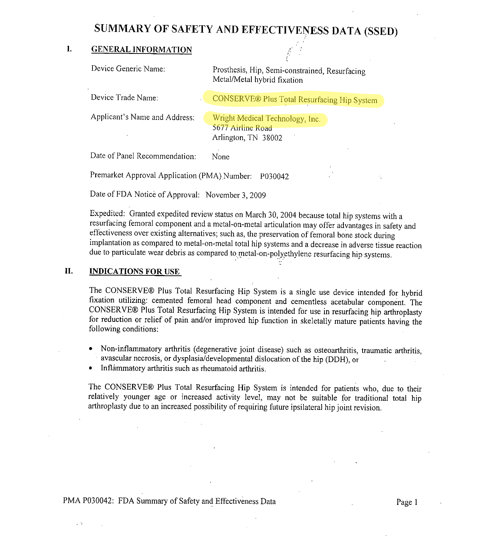# **SUMMARY OF SAFETY AND EFFECTIVENESS DATA (SSED)**

## I. GENERAL INFORMATION

Device Generic Name:  $\qquad \qquad$  Prosthesis, Hip, Semi-constrained, Resurfacing Metal/Metal hybrid fixation

Device Trade Name: CONSERVE® Plus Total Resurfacing Hip System

Applicant's Name and Address: **Wright Medical Technology**, Inc.

5677 Airline Road Arlington, TN 38002

Date of Panel Recommendation: None

Premarket Approval Application (PMA) Number: P030042

Date of FDA Notice of Approval: November 3, 2009

Expedited: Granted expedited review status on March 30, 2004 because total hip systems with a resurfacing femoral component and a metal-on-metal articulation may offer advantages in safety and<br>effectiveness over existing alternatives; such as, the preservation of femoral bone stock during implantation as compared to metal-on-metal total hip systems and a decrease in adverse tissue reaction due to particulate wear debris as compared to metal-on-polyethylene resurfacing hip systems.

## I!. INDICATIONS **FOR USE**

 $\sim$  3.

The CONSERVE® Plus Total Resurfacing Hip System is a single use device intended for hybrid fixation utilizing: cemented femoral head component and cementless acetabular component. The CONSERVE® Plus Total Resurfacing Hip System is intended for use in resurfacing hip arthroplasty for reduction or relief of pain and/or improved hip function in skeletally mature patients. having the following conditions:

- \* Non-inflammatory arthritis (degenerative joint disease) such as osteoarthritis, traumatic arthritis, avascular necrosis, or dysplasia/developmental dislocation of the hip (DDH), or
- $\bullet$ Inflammatory arthritis such as rheumatoid arthritis.

The CONSERVE® Plus Total Resurfacing Hip System is intended for patients who, due to their relatively younger age or increased activity level, may not be suitable for traditional total hip arthroplasty due to an increased possibility of requiring future ipsilateral hip joint revision.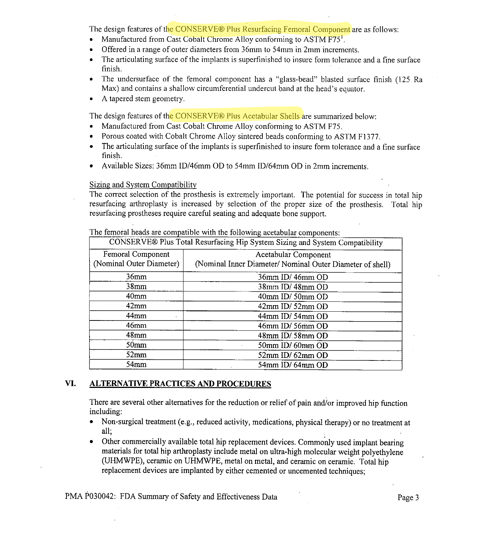The design features of the CONSERVE® Plus Resurfacing Femoral Component are as follows:

- \* Manufactured from Cast Cobalt Chrome Alloy conforming to ASTM F75<sup>1</sup>.
- \* Offered in a range of outer diameters from 36mm to 54ram in 2mm increments.
- \* The articulating surface of the implants is superfinished to insure form tolerance and a fine surface finish.
- \* The undersurface of the femoral component has a "glass-bead" blasted surface finish (125 Ra Max) and contains a shallow circumferential undercut band at the head's equator.
- A tapered stem geometry.

The design features of the CONSERVE® Plus Acetabular Shells are summarized below:

- \* Manufactured from Cast Cobalt Chrome Alloy conforming to ASTM F75.
- \* Porous coated with Cobalt Chrome Alloy sintered beads conforming to ASTM F1377.
- \* The articulating surface of the implants is superfinished to insure form tolerance and a fine surface finish.
- \* Available Sizes: 36mm ID/46mm OD to 54mm ID/64mm OD in 2mm increments.

## Sizing and System Compatibility

The correct selection of the prosthesis is extremely important. The potential for success in total hip resurfacing arthroplasty is increased by selection of the proper size of the prosthesis. Total hip resurfacing prostheses require careful seating and adequate bone support.

| CONSERVE® Plus Total Resurfacing Hip System Sizing and System Compatibility |                                                                                   |  |  |  |  |  |
|-----------------------------------------------------------------------------|-----------------------------------------------------------------------------------|--|--|--|--|--|
| Femoral Component<br>(Nominal Outer Diameter)                               | Acetabular Component<br>(Nominal Inner Diameter/ Nominal Outer Diameter of shell) |  |  |  |  |  |
| 36mm                                                                        | 36mm ID/46mm OD                                                                   |  |  |  |  |  |
| 38 <sub>mm</sub>                                                            | 38mm ID/48mm OD                                                                   |  |  |  |  |  |
| 40 <sub>mm</sub>                                                            | 40mm ID/50mm OD                                                                   |  |  |  |  |  |
| 42mm                                                                        | 42mm ID/52mm OD                                                                   |  |  |  |  |  |
| 44mm                                                                        | 44mm ID/54mm OD                                                                   |  |  |  |  |  |
| $46$ mm                                                                     | 46mm ID/56mm OD                                                                   |  |  |  |  |  |
| 48mm                                                                        | 48mm ID/.58mm OD                                                                  |  |  |  |  |  |
| 50 <sub>mm</sub>                                                            | 50mm ID/60mm OD                                                                   |  |  |  |  |  |
| 52mm                                                                        | 52mm ID/62mm OD                                                                   |  |  |  |  |  |
| 54mm                                                                        | 54mm ID/64mm OD                                                                   |  |  |  |  |  |

The femoral heads are compatible with the following acetabular components:

## **VI. ALTERNATIVE PRACTICES AND PROCEDURES**

There are several other alternatives for the reduction or relief of pain and/or improved hip function including:

- Non-surgical treatment (e.g., reduced activity, medications, physical therapy) or no treatment at all;
- \* Other commercially available total hip replacement devices. Commonly used implant bearing materials for total hip arthroplasty include metal on ultra-high molecular weight polyethylene (UHMWPE), ceramic on UHMWPE, metal on metal, and ceramic on ceramic. Total hip replacement devices are implanted by either cemented or uncemented techniques;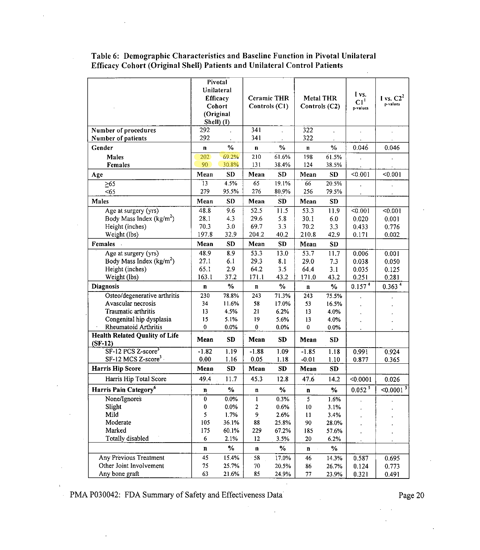|                                       | Pivotal                   |              |                                     |              |                                   |           |                             |                         |
|---------------------------------------|---------------------------|--------------|-------------------------------------|--------------|-----------------------------------|-----------|-----------------------------|-------------------------|
|                                       | Unilateral                |              |                                     |              |                                   |           |                             |                         |
|                                       | <b>Efficacy</b><br>Cohort |              | <b>Ceramic THR</b><br>Controls (C1) |              | <b>Metal THR</b><br>Controls (C2) |           | I vs.                       | I vs. $C2^2$            |
|                                       |                           |              |                                     |              |                                   |           | Cl <sup>1</sup><br>p-values | p-values                |
|                                       | (Original                 |              |                                     |              |                                   |           |                             |                         |
|                                       | Shell) (I)                |              |                                     |              |                                   |           |                             |                         |
| Number of procedures                  | 292                       |              | 341                                 |              | 322                               | t.        |                             |                         |
| Number of patients                    | 292                       |              | 341                                 |              | 322                               |           |                             |                         |
| Gender                                | $\mathbf n$               | %            | n                                   | $\%$         | $\mathbf{n}$                      | $\%$      | 0.046                       | 0.046                   |
|                                       |                           | 69.2%        |                                     | 61.6%        |                                   |           |                             |                         |
| Males                                 | 202<br>90                 |              | 210<br>131                          |              | 198<br>124                        | 61.5%     |                             |                         |
| Females                               |                           | 30.8%        |                                     | 38.4%        |                                   | 38.5%     |                             |                         |
| Age                                   | Mean                      | SD           | Mean                                | <b>SD</b>    | Mean                              | SD        | < 0.001                     | < 0.001                 |
| $\geq 65$                             | $\overline{13}$           | 45%          | 65                                  | 19.1%        | 66                                | 20.5%     |                             |                         |
| < 65                                  | 279                       | 95.5%        | 276                                 | 80.9%        | 256                               | 79.5%     |                             |                         |
| Males                                 | Mean                      | <b>SD</b>    | Mean                                | SD           | Mean                              | <b>SD</b> |                             |                         |
| Age at surgery (yrs)                  | 48.8                      | 9.6          | 52.5                                | 11.5         | 53.3                              | 11.9      | < 0.001                     | < 0.001                 |
| Body Mass Index ( $kg/m2$ )           | 28.1                      | 4.3          | 29.6                                | 5.8          | 30.1                              | 6.0       | 0.020                       | 0.001                   |
| Height (inches)                       | 70.3                      | 3.0          | 697                                 | 3.3          | 70.2                              | 3,3       | 0.433                       | 0.776                   |
| Weight (lbs)                          | 197.8                     | 32.9         | 204.2                               | 40.2         | 210.8                             | 42.9      | 0.171                       | 0.002                   |
| Females                               | Mean                      | <b>SD</b>    | Mean                                | <b>SD</b>    | Mean                              | <b>SD</b> |                             |                         |
| Age at surgery (yrs)                  | 48.9                      | 8.9          | 53.3                                | 13.0         | 53.7                              | 11.7      | 0.006                       | 0.001                   |
| Body Mass Index $(kg/m^2)$            | 27.1                      | 6.1          | 29.3                                | 8.1          | 29.0                              | 7.3       | 0.038                       | 0.050                   |
| Height (inches)                       | 65.1                      | 2.9          | 64.2                                | 3.5          | 64.4                              | 3.1       | 0.035                       | 0.125                   |
| Weight (lbs)                          | 163.1                     | 37.2         | 171.1                               | 43.2         | 171.0                             | 43.2      | 0.251                       | 0.281                   |
| <b>Diagnosis</b>                      | $\mathbf n$               | $\%$         | n                                   | $\%$         | $\mathbf n$                       | $\%$      | 0.157 <sup>4</sup>          | 0.363 <sup>4</sup>      |
| Osteo/degenerative arthritis          | 230                       | 78.8%        | 243                                 | 71.3%        | 243                               | 75.5%     |                             |                         |
| Avascular necrosis                    | 34                        | 11.6%        | 58                                  | 17.0%        | 53                                | 16.5%     |                             |                         |
| Traumatic arthritis                   | 13                        | 4.5%         | 21                                  | 6.2%         | 13                                | 4.0%      |                             |                         |
| Congenital hip dysplasia              | 15                        | 5.1%         | 19                                  | 5.6%         | 13                                | 4.0%      |                             |                         |
| Rheumatoid Arthritis                  | $\pmb{0}$                 | 0.0%         | 0                                   | 0.0%         | $\pmb{0}$                         | 0.0%      |                             |                         |
| <b>Health Related Quality of Life</b> | Mean                      | <b>SD</b>    | Mean                                | <b>SD</b>    | Mean                              | <b>SD</b> |                             |                         |
| $(SF-12)$<br>$SF-12 PCS Z-score3$     |                           |              |                                     |              |                                   |           |                             |                         |
| SF-12 MCS Z-score <sup>3</sup>        | $-1.82$<br>0.00           | 1.19<br>1.16 | $-1.88$<br>0.05                     | 1.09<br>1.18 | $-1.85$<br>$-0.01$                | 1.18      | 0.991                       | 0.924                   |
|                                       |                           |              |                                     |              |                                   | 1.10      | 0.877                       | 0.365                   |
| <b>Harris Hip Score</b>               | Mean                      | <b>SD</b>    | Mean                                | SD           | Mean                              | SD        |                             |                         |
| Harris Hip Total Score                | 49.4                      | 11.7         | 45.3                                | 12.8         | 47.6                              | 14.2      | < 0.0001                    | 0.026                   |
| Harris Pain Category <sup>6</sup>     | n                         | $\%$         | $\bf n$                             | %            | $\mathbf n$                       | $\%$      | $0.052^{5}$                 | $< 0.0001$ <sup>5</sup> |
| None/Ignores                          | 0                         | 0.0%         | 1                                   | 0.3%         | 5                                 | 1.6%      |                             |                         |
| Slight                                | 0                         | $0.0\%$      | 2                                   | 0.6%         | 10                                | 3.1%      |                             |                         |
| Mild                                  | 5                         | 1.7%         | 9                                   | 2.6%         | 11                                | 3.4%      |                             |                         |
| Moderate                              | 105                       | 36.1%        | 88                                  | 25.8%        | 90                                | 28.0%     |                             |                         |
| Marked                                | 175                       | 60.1%        | 229                                 | 67.2%        | 185                               | 57.6%     |                             |                         |
| <b>Totally disabled</b>               | 6                         | 2.1%         | 12                                  | 3.5%         | 20                                | 6.2%      |                             |                         |
|                                       | n                         | $\%$         | n                                   | $\%$         | n                                 | $\%$      |                             |                         |
| Any Previous Treatment                | 45                        | 15.4%        | 58                                  | 17.0%        | 46                                | 14.3%     | 0.587                       | 0.695                   |
| Other Joint Involvement               | 75                        | 25.7%        | 70                                  | 20.5%        | 86                                | 26.7%     | 0.124                       | 0.773                   |
| Any bone graft                        | 63                        | 21.6%        | 85                                  | 24.9%        | $77\,$                            | 23.9%     | 0.321                       | 0.491                   |

 $\mathbb{R}^2$ 

 $\bar{z}$ 

**Table 6:** Demographic Characteristics and Baseline Function in Pivotal Unilateral Efficacy Cohort (Original Shell) Patients and Unilateral Control Patients  $\ddot{\phantom{a}}$ 

PMA P030042: FDA Summary of Safety and Effectiveness Data Page 20

 $\lambda$ 

 $\mathcal{L}^{\text{max}}$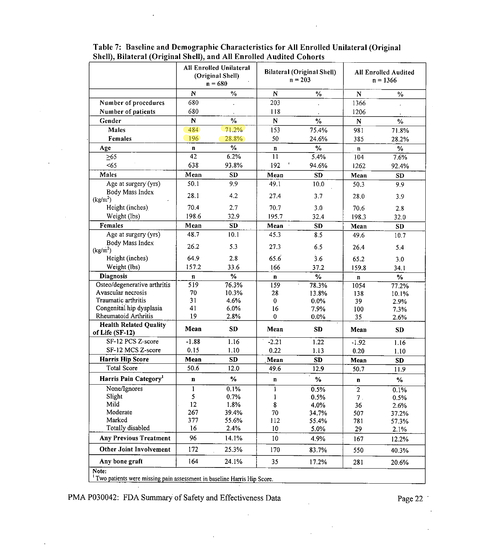|                                                                         |                 | <b>All Enrolled Unilateral</b><br>(Original Shell)<br>$n = 680$ | <b>Bilateral (Original Shell)</b><br>$n = 203$ |                  |                | <b>All Enrolled Audited</b><br>$n = 1366$ |
|-------------------------------------------------------------------------|-----------------|-----------------------------------------------------------------|------------------------------------------------|------------------|----------------|-------------------------------------------|
|                                                                         | $\mathbf N$     | $\frac{0}{6}$                                                   | ${\bf N}$                                      | $\frac{0}{0}$    | ${\bf N}$      | $\frac{0}{6}$                             |
| Number of procedures                                                    | 680             |                                                                 | 203                                            |                  | 1366           |                                           |
| Number of patients                                                      | 680             |                                                                 | 118                                            |                  | 1206           |                                           |
| Gender                                                                  | ${\bf N}$       | $\frac{0}{6}$                                                   | ${\bf N}$                                      | $\frac{6}{2}$    | $\mathbf N$    | $\%$                                      |
| <b>Males</b>                                                            | 484             | 71.2%                                                           | 153                                            | 75.4%            | 981            | 71.8%                                     |
| Females                                                                 | 196             | 28.8%                                                           | 50                                             | 24.6%            | 385            | 28.2%                                     |
| Age                                                                     | n               | $\frac{9}{6}$                                                   | $\mathbf n$                                    | $\%$             | $\mathbf n$    | $\frac{0}{10}$                            |
| $\geq 65$                                                               | $\overline{42}$ | 6.2%                                                            | $\overline{11}$                                | 5.4%             | 104            | 7.6%                                      |
| < 65                                                                    | 638             | 93.8%                                                           | 192                                            | 94.6%            | 1262           | 92.4%                                     |
| Males                                                                   | Mean            | <b>SD</b>                                                       | Mean                                           | <b>SD</b>        | Mean           | <b>SD</b>                                 |
| Age at surgery (yrs)                                                    | 50.1            | 9.9                                                             | 49 1                                           | 10.0             | 50.3           | 9.9                                       |
| Body Mass Index<br>(kg/m <sup>2</sup> )                                 | 28.1            | 4.2                                                             | 27.4                                           | 3.7              | 28.0           | 3.9                                       |
| Height (inches)                                                         | 70.4            | 2.7                                                             | 70.7                                           | 3.0              | 70.6           | 2.8                                       |
| Weight (lbs)                                                            | 198.6           | 32.9                                                            | 195.7                                          | 32.4             | 198.3          | 32.0                                      |
| Females                                                                 | Mean            | <b>SD</b>                                                       | Mean                                           | <b>SD</b>        | Mean           | <b>SD</b>                                 |
| Age at surgery (yrs)                                                    | 48.7            | 10.1                                                            | 45.3                                           | 8.5              | 49.6           | 10.7                                      |
| Body Mass Index<br>(kg/m <sup>2</sup> )                                 | 26.2            | 5.3                                                             | 27.3                                           | 6.5              | 26.4           | 5.4                                       |
| Height (inches)                                                         | 64.9            | 2.8                                                             | 65.6                                           | $\overline{3.6}$ | 65.2           | 3.0                                       |
| Weight (lbs)                                                            | 157.2           | 33.6                                                            | 166                                            | 37.2             | 159.8          | 34.1                                      |
| <b>Diagnosis</b>                                                        | n               | $\frac{0}{2}$                                                   | $\mathbf n$                                    | $\frac{0}{2}$    | $\mathbf n$    | $\frac{0}{6}$                             |
| Osteo/degenerative arthritis                                            | 519             | 76.3%                                                           | 159                                            | 78.3%            | 1054           | 77.2%                                     |
| Avascular necrosis                                                      | 70              | 10.3%                                                           | 28                                             | 13.8%            | 138            | 10.1%                                     |
| Traumatic arthritis<br>Congenital hip dysplasia                         | 31<br>41        | 4.6%<br>6.0%                                                    | $\bf{0}$                                       | 0.0%             | 39             | 2.9%                                      |
| Rheumatoid Arthritis                                                    | 19              | 2.8%                                                            | 16<br>$\bf{0}$                                 | 7.9%<br>0.0%     | 100<br>35      | 7.3%<br>2.6%                              |
| <b>Health Related Quality</b>                                           |                 |                                                                 |                                                |                  |                |                                           |
| of Life (SF-12)                                                         | Mean            | <b>SD</b>                                                       | Mean                                           | <b>SD</b>        | Mean           | <b>SD</b>                                 |
| SF-12 PCS Z-score                                                       | $-1.88$         | 1.16                                                            | $-2.21$                                        | 1.22             | $-1.92$        | 1.16                                      |
| SF-12 MCS Z-score                                                       | 0.15            | 1.10                                                            | 0.22                                           | 1.13             | 0.20           | 1.10                                      |
| <b>Harris Hip Score</b>                                                 | Mean            | SD                                                              | Mean                                           | SD               | Mean           | <b>SD</b>                                 |
| <b>Total Score</b>                                                      | 50.6            | 12.0                                                            | 49.6                                           | 12.9             | 50.7           | 11.9                                      |
| Harris Pain Category <sup>1</sup>                                       | n               | %                                                               | n                                              | $\%$             | n              | $\%$                                      |
| None/Ignores                                                            | 1               | 0.1%                                                            | I                                              | 0.5%             | $\overline{2}$ | 0.1%                                      |
| Slight                                                                  | 5               | 0.7%                                                            |                                                | 0.5%             | 7.             | 0.5%                                      |
| Mild<br>Moderate                                                        | 12              | 1.8%                                                            | 8                                              | 4.0%             | 36             | 2.6%                                      |
| Marked                                                                  | 267<br>377      | 39.4%                                                           | 70                                             | 34.7%            | 507            | 37.2%                                     |
| Totally disabled                                                        | 16              | 55.6%<br>2.4%                                                   | 112<br>10                                      | 55.4%<br>5.0%    | 781<br>29      | 57.3%                                     |
| <b>Any Previous Treatment</b>                                           | 96              | 14.1%                                                           | 10                                             |                  |                | 2.1%                                      |
| <b>Other Joint Involvement</b>                                          | 172             | 25.3%                                                           |                                                | 4.9%             | 167            | 12.2%                                     |
|                                                                         |                 |                                                                 | 170                                            | 83.7%            | 550            | 40.3%                                     |
| Any bone graft<br>Note:                                                 | 164             | 24.1%                                                           | 35                                             | 17.2%            | 281            | 20.6%                                     |
| Two patients were missing pain assessment in baseline Harris Hip Score. |                 |                                                                 |                                                |                  |                |                                           |

 $\bar{\mathcal{L}}$ 

 $\bar{z}$ 

## Table 7: Baseline and Demographic Characteristics for All Enrolled Unilateral (Original Shell), Bilateral (Original Shell), and All Enrolled Audited Cohorts

PMA P030042: FDA Summary of Safety and Effectiveness Data Page 22 Page 22 Page 22 Page 22 Page 22 Page 22 Page 22 Page 22 Page 22 Page 22 Page 22 Page 22 Page 22 Page 22 Page 22 Page 22 Page 22 Page 22 Page 22 Page 22 Page

 $\ddot{\phantom{a}}$ 

 $\bar{1}$ 

 $\ddot{\phantom{a}}$ 

 $\hat{\mathbf{r}}$ 

 $\sim$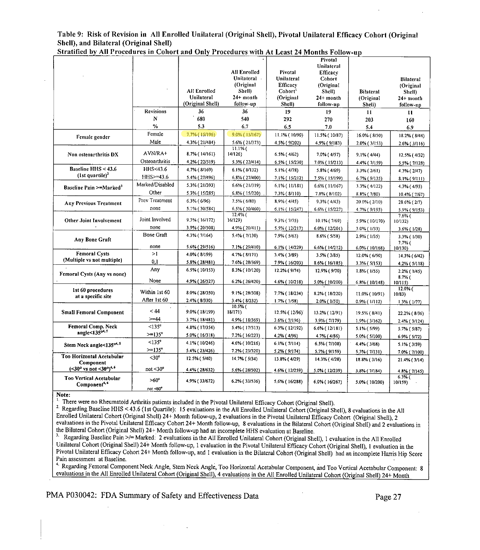Table 9: Risk of Revision in All Enrolled Unilateral (Original Shell), Pivotal Unilateral Efficacy Cohort (Original Shell), and Bilateral (Original Shell)

|                                                            |                   |                     |                     |                    | $110 \times 0110$  |                  |                          |
|------------------------------------------------------------|-------------------|---------------------|---------------------|--------------------|--------------------|------------------|--------------------------|
|                                                            |                   |                     |                     |                    | Pivotal            |                  |                          |
|                                                            |                   |                     |                     |                    | Unilateral         |                  |                          |
|                                                            |                   |                     | All Enrolled        | Pivotal            | Efficacy           |                  |                          |
|                                                            |                   |                     | Unilateral .        | Unilateral         | Cohort             |                  | <b>Bilateral</b>         |
|                                                            |                   | <b>All Enrolled</b> | (Original           | <b>Efficacy</b>    | (Original          |                  | (Original                |
|                                                            |                   | Unilateral          | Shell)<br>24+ month | Cohort'            | Shell)             | <b>Bilateral</b> | Shell)                   |
|                                                            |                   |                     |                     | (Original          | 24+ month          | (Original        | $24+$ month              |
|                                                            |                   | (Original Shell)    | follow-up           | Shell)             | follow-up          | Shell)           | follow-up                |
|                                                            | <b>Revisions</b>  | 36                  | 36                  | 19                 | 19                 | 11               | $\mathbf{u}$             |
|                                                            | N                 | 680                 | 540                 | 292                | 270                | 203              | 160                      |
|                                                            | %                 | 5.3                 | 6.7                 | 6.5                | 7.0                | 54               | 6.9                      |
| Female gender                                              | Female            | 7.7% (15/196)       | 9.0% (15/167)       | 11.1% (10/90)      | 11.5% (10/87)      | 16.0% (8/50)     | 18.2% (8/44)             |
|                                                            | Male              | 4.3% (21/484)       | 5.6% (21/373)       | 4.5% (9/202)       | 4.9% (9/183)       | 2.0% (3/153)     | $2.6\%$ ( $3/116$ )      |
| Non osteoarthritis DX                                      | AVN/RA+           | 8.7% (14/161)       | 11.1%<br>14/126)    | 6.5% (4/62)        | 7.0% (4/57)        | $9.1\%$ (4/44)   | 12.5% (4/32)             |
|                                                            | Osteoarthritis    | 4.2% (22/519)       | 5.3% (22/414)       | 6.5% (15/230)      | 7.0% (15/213)      | 4.4% (7/159)     | 5.5% (7/128)             |
| Baseline HHS < 43.6                                        | HHS<43.6          | 4.7% (8/169)        | $6.1\%$ ( $8/132$ ) | $5.1\%$ (4/78)     | 5.8% (4/69)        | $3.3\%$ (2/61)   | 4.3% (2/47)              |
| $(1st quartile)^2$                                         | $HHS > = 43.6$    | 5.4% (27/496)       | 6.8% (27/400)       | 71% (15/212)       | 7.5% (15/199)      | 6.7% (9/135)     | 8.1% (9/111)             |
|                                                            | Marked/Disabled   | 5.3% (21/393)       | 6.6% (21/319)       | $6.1\%$ (11/181)   | 6.6% (11/167)      | 3.3% (4/122)     | 4.3% (4/93)              |
| Baseline Pain >=Marked <sup>3</sup>                        | Other             | 5.3% (15/285)       | 6.8% (15/220)       | 7.3% (8/110)       | 7.8% (8/102)       | $8.8\%$ (7/80)   | 10.4% (7/67)             |
|                                                            | Prev Treatment    | 6.3% (6/96)         | 7.5% (6/80)         | 8.9% (4/45)        | 9.3% (4/43)        | 20.0% (2/10)     | 28.6% (2/7)              |
| <b>Any Previous Treatment</b>                              | none              | 5.1% (30/584)       | 6.5% (30/460)       | 6.1% (15/247)      | 6.6% (15/227)      | 4.7% (9/193)     | 5.9% (9/153)             |
|                                                            |                   |                     | $12.4\%$            |                    |                    |                  | $7.6%$ (                 |
| Other Joint Involvement                                    | Joint Involved    | 9.3% (16/172)       | 16/129)             | 93% (7/75)         | 10.1% (7/69)       | 5.9% (10/170)    | 10/132)                  |
|                                                            | none              | 3.9% (20/508)       | 4.9% (20/411)       | 5.5% (12/217)      | 6.0% (12/201)      | $3.0\%$ (1/33)   | 3.6% (1/28)              |
| Any Bone Graft                                             | <b>Bone Graft</b> | 4.3% (7/164)        | 5.4% (7/130)        | 7.9% (5/63)        | 8.6% (5/58)        | 2.9% (1/35)      | 3.3% (1/30)              |
|                                                            | none              | 5.6% (29/516)       | 7.1% (29/410)       | 6.1% (14/229)      | 6.6% (14/212)      | 6.0% (10/168)    | 7.7%<br>10/130)          |
| <b>Femoral Cysts</b>                                       | >1                | 4.0% (8/199)        | 4.7% (8/171)        | $3.4\%$ ( $3/89$ ) | $3.5\%$ ( $3/85$ ) | 12.0% (6/50)     | 14.3% (6/42)             |
| (Multiple vs not multiple)                                 | 0.1               | 5.8% (28/481)       | 7.6% (28/369)       | 7.9% (16/203)      | 8.6% (16/185)      | 3.3% (5/153)     | 4.2% (5/118)             |
|                                                            | Any               | 6.5% (10/153)       | 8.3% (10/120)       | 12.2% (9/74)       | 12.9% (9/70)       | $1.8\%$ (1/55)   | 2.2% (1/45)              |
| Femoral Cysts (Any vs none)                                |                   |                     |                     |                    |                    |                  | $8.7%$ (                 |
|                                                            | None              | 4.9% (26/527)       | 6.2% (26/420)       | 4.6% (10/218)      | 5.0% (10/200)      | 6.8% (10/148)    | 10/115)                  |
| 1st 60 procedures                                          | Within 1st 60     | 8.0% (28/350)       | 9.1% (28/308)       | 7.7% (18/234)      |                    |                  | $12.0%$ (                |
| at a specific site                                         | After 1st 60      | 2.4% (8/330)        | 3.4% (8/232)        | $1.7%$ (1/58)      | 8.2% (18/220)      | 11.0% (10/91)    | 10/83)                   |
|                                                            |                   |                     | 10.5%               |                    | $2.0\%$ (1/50)     | $0.9\%$ (1/112)  | $1.3\%$ (1/77)           |
| <b>Small Femoral Component</b>                             | < 44              | 9.0% (18/199)       | 18/171)             | 12.5% (12/96)      | 13.2% (12/91)      | 19.5% (8/41)     | 22.2% (8/36)             |
|                                                            | $>=14$            | 3.7% (18/481)       | 4.9% (18/369)       | 3.6% (7/196)       | 3.9% (7/179)       | 1.9% (3/162)     | 2.4% (3/124)             |
| Femoral Comp. Neck                                         | $<135^\circ$      | 4.8% (17/354)       | 5.4% (17/313)       | 6.3% (12/192)      | 6.6% (12/181)      | $5.1\%$ (5/99)   | $5.7%$ ( $5/87$ )        |
| angle< $135^{\circ4.5}$                                    | $>=135^{\circ}$   | 5.0% (16/318)       | 7.2% (16/223)       | 4.2% (4/96)        | 4.7% (4/86)        | 5.0% (5/100)     | 6.9% (5/72)              |
| Stem Neck angle<135 <sup>o4,5</sup>                        | $<135^\circ$      | 4.1% (10/246)       | 4.6% (10/216)       | $6.1\%$ (7/114)    | 6.5% (7/108)       | 4.4% (3/68)      | 5.1% (3/59)              |
|                                                            | $>=135^{\circ}$   | 5.4% (23/426)       | 7.2% (23/320)       | 5.2% (9/174)       | 5.7% (9/159)       | 5.3% (7/131)     | 7.0% (7/100)             |
| Too Horizontal Acetabular                                  | $<$ 30 $^{\circ}$ | 12.5% (5/40)        | 14.7% (5/34)        | 13.8% (4/29)       | 14.3% (4/28)       | 18.8% (3/16)     | 21.4% (3/14)             |
| Component<br>$(<30° \text{ vs not } <30°)^{4.6}$           | $not < 30^\circ$  | 4.4% (28/632)       | 5.6% (28/502)       | 4 6% (12/259)      |                    |                  |                          |
|                                                            |                   |                     |                     |                    | 5.0% (12/239)      | 3.8% (7/184)     | 4.8% (7/145)<br>$6.3%$ ( |
| <b>Too Vertical Acetabular</b><br>Component <sup>4,6</sup> | $>60^\circ$       | 4.9% (33/672)       | 6.2% (33/536)       | 5 6% (16/288)      | 6.0% (16/267)      | 5.0% (10/200)    | 10/159)                  |
|                                                            | not <60°          |                     |                     |                    |                    |                  |                          |

Stratified by All Procedures in Cohort and Only Procedures with At Least 24 Months Follow-up

**Note:** 

<sup>1,</sup> There were no Rheumatoid Arthritis patients included in the Pivotal Unilateral Efficacy Cohort (Original Shell).

2. There were no rencumatora Fruitrus patients included in the Frollan Official Efficacy Collori (Original Shell),<br><sup>2.</sup> Regarding Baseline HHS < 43.6 (1st Quartile): 15 evaluations in the All Enrolled Unilateral Cohort (Or Enrolled Unilateral Cohort (Original Shell) 24+ Month follow-up, 2 evaluations in the Pivotal Unilateral Efficacy Cohort (Original Shell), 2 evaluations in the Pivotal Unilateral Efficacy Cohort 24+ Month follow-up, 8 evaluations in the Bilateral Cohort (Original Shell) and 2 evaluations in the Bilateral Cohort (Original Shell) 24+ Month follow-up had an incomplete HHS evaluation at Baseline.

. Regarding Baseline Pain >/= Marked: 2 evaluations in the All Enrolled Unilateral Cohort (Original Shell), I evaluation in the All Enrolled Unilateral Cohort (Original Shell) 244 Month follow-up, 1 evaluation in the Pivotal Unilateral Efficacy Cohort (Original Shell), I evaluation in the Pivotal Unilateral Efficacy Cohort 24+ Month follow-up, and 1 evaluation in the Bilateral Cohort (Original Shell) had an incomplete Harris Hip Score Pain assessment at Baseline.

<sup>4</sup> Regarding Femoral Component Neck Angle, Stem Neck Angle, Too Horizontal Acetabular Component, and Too Vertical Acetabular Component: 8 evaluations in the All Enrolled Unilateral Cohort (Original Shell), 4 evaluations in the All Enrolled Unilateral Cohort (Original Shell) 24+ Month

## PMA P030042: FDA Summary of Safety and Effectiveness Data Page 27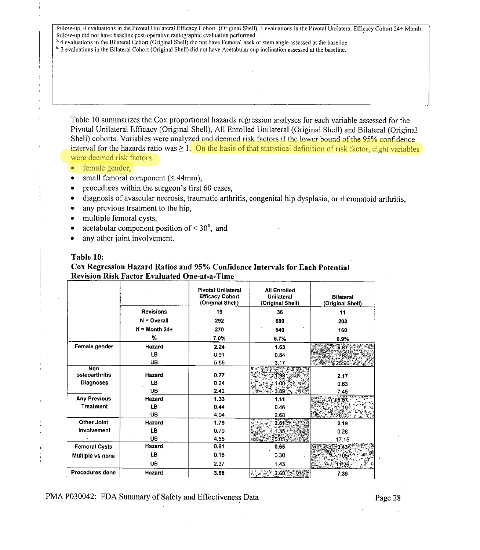follow-up, 4 evaluations in the Pivotal Unilateral Efficacy Cohort (Original Shell), 3 evaluations in the Pivotal Unilateral Efficacy Cohort 24+ Month follow-up did not have baseline post-operative radiographic evaluation performed.

 $2.4$  evaluations in the Bilateral Cohort (Original Shell) did not have Femoral neck or stem angle assessed at the baseline.

**6**  3 evaluations in the Bilateral Cohort (Original Shell) did not have Acetabular cup inclination assessed at the baseline.

Table 10 summarizes the Cox proportional hazards regression analyses for each variable assessed for the Pivotal Unilateral Efficacy (Original Shell), All Enrolled Unilateral (Original Shell) and Bilateral (Original Shell) cohorts. Variables were analyzed and deemed risk factors if the lower bound of the 95% confidence interval for the hazards ratio was  $\geq 1$ . On the basis of that statistical definition of risk factor, eight variables were deemed risk factors:

- $\bullet$ female gender,
- \* small femoral component ( $\leq$  44mm),
- $\bullet$ procedures within the surgeon's first 60 cases,
- \* diagnosis of avascular necrosis, traumatic arthritis, congenital hip dysplasia, or rheumatoid arthritis,
- \* any previous treatment to the hip,
- $\bullet$ multiple femoral cysts,
- $\bullet$ acetabular component position of  $\leq 30^{\circ}$ , and
- \* any other joint involvement.

### **Table 10:**

## **Cox Regression Hazard Ratios and 95% Confidence Intervals for Each Potential Revision Risk Factor Evaluated One-at-a-Time**

|                        |                  | <b>Pivotal Unilateral</b><br><b>Efficacy Cohort</b><br>(Original Shell) | <b>All Enrolled</b><br><b>Unilateral</b><br>(Original Shell) | <b>Bilateral</b><br>(Original Shell) |
|------------------------|------------------|-------------------------------------------------------------------------|--------------------------------------------------------------|--------------------------------------|
|                        | <b>Revisions</b> | 19                                                                      | 36                                                           | 11                                   |
|                        | $N =$ Overall    | 292                                                                     | 680                                                          | 203                                  |
|                        | $N =$ Month 24+  | 270                                                                     | 540                                                          | 160                                  |
|                        | %                | 7.0%                                                                    | 6.7%                                                         | 6.9%                                 |
| Female gender          | Hazard           | 2.24                                                                    | 1.63                                                         | 6.8                                  |
|                        | LB.              | 0.91                                                                    | 0.84                                                         |                                      |
|                        | UB               | 5.55                                                                    | 3.17                                                         |                                      |
| Non<br>osteoarthritis  | Hazard           | 0.77                                                                    |                                                              | 2.17                                 |
| <b>Diagnoses</b>       | LB               | 0.24                                                                    |                                                              | 0.63                                 |
|                        | UB               | 2.42                                                                    | 8                                                            | 7.45                                 |
| <b>Any Previous</b>    | Hazard           | 1.33                                                                    | 1.11                                                         |                                      |
| <b>Treatment</b>       | LB               | 0.44                                                                    | 0.46                                                         |                                      |
|                        | UB               | 4.04.                                                                   | 2.68                                                         | 6                                    |
| <b>Other Joint</b>     | Hazard           | 1.79                                                                    | 2.61                                                         | 2.19                                 |
| Involvement            | LB.              | 0.70                                                                    |                                                              | 0.28                                 |
|                        | <b>UB</b>        | 4.55                                                                    |                                                              | 17.15                                |
| <b>Femoral Cysts</b>   | Hazard           | 0.61                                                                    | 0.65                                                         | 3.43                                 |
| Multiple vs none       | LB.              | 0.16                                                                    | 0.30                                                         | 1405)                                |
|                        | UB.              | 2.37                                                                    | 1.43                                                         | 11:26                                |
| <b>Procedures done</b> | Hazard           | 3.68                                                                    | 2.60                                                         | 7.39                                 |

PMA P030042: FDA Summary of Safety and Effectiveness Data Page 28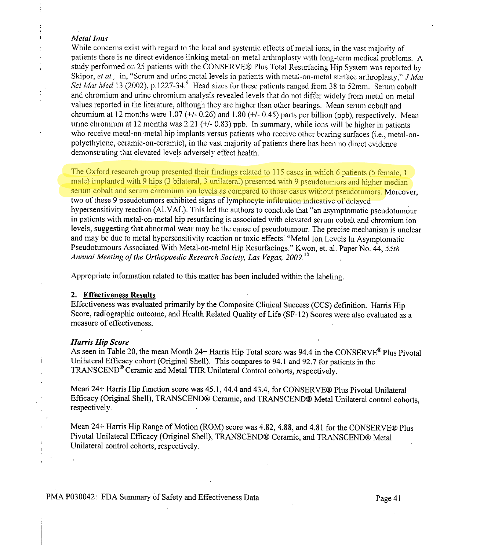#### *Metal Ions*

 $\mathbf{I}$ 

While concerns exist with regard to the local and systemic effects of metal ions, in the vast majority of patients there is no direct evidence linking metal-on-metal arthroplasty with long-term medical problems. A study performed on 25 patients with the CONSERVE® Plus Total Resurfacing Hip System was reported by Skipor, *el al.,* in, "Serum and urine metal levels in patients with metal-on-metal surface arthroplasty," *Mal Sci Mat Med* 13 (2002), p.1227-34.<sup>9</sup> Head sizes for these patients ranged from 38 to 52mm. Serum cobalt and chromium and urine chromium analysis revealed levels that do not differ widely from metal-on-metal values reported in the literature, although they are higher than other bearings. Mean serum cobalt and chromium at 12 months were 1.07 ( $+/-$  0.26) and 1.80 ( $+/-$  0.45) parts per billion (ppb), respectively. Mean urine chromium at 12 months was 2.21 (+/- 0.83) ppb. In summary, while ions will be higher in patients who receive metal-on-metal hip implants versus patients who receive other bearing surfaces (i.e., metal-onpolyethylene, ceramic-on-ceramic), in the vast majority of patients there has been no direct evidence demonstrating that elevated levels adversely effect health.

The Oxford research group presented their findings related to 115 cases in which 6 patients (5 female, 1 male) implanted with 9 hips (3 bilateral, 3 unilateral) presented with 9 pseudotumors and higher median serum cobalt and serum chromium ion levels as compared to those cases without pseudotumors. Moreover, two of these 9 pseudotumors exhibited signs of lymphocyte infiltration indicative of delayed hypersensitivity reaction (ALVAL). This led the authors to conclude that "an asymptomatic pseudotumour in patients with metal-on-metal hip resurfacing is associated with elevated serum cobalt and chromium ion levels, suggesting that abnormal wear may be the cause of pseudotumour. The precise mechanism is unclear and may be due to metal hypersensitivity reaction or toxic effects: "Metal Ion Levels In Asymptomatic Pseudotumours Associated With Metal-on-metal Hip Resurfacings." Kwon, et. al. Paper No. 44, *55th*  Annual Meeting of the Orthopaedic Research Society, Las Vegas, 2009.<sup>10</sup>

Appropriate information related to this matter has been included within the labeling.

#### **2. Effectiveness Results**

Effectiveness was evaluated primarily by the Composite Clinical Success (CCS) definition. Harris Hip Score, radiographic outcome, and Health Related Quality of Life (SF-12) Scores were also evaluated as a measure of effectiveness.

#### **Harris Hip Score**

 $\mathbf{i}$ 

As seen in Table 20, the mean Month 24+ Harris Hip Total score was 94.4 in the CONSERVE<sup>®</sup> Plus Pivotal Unilateral Efficacy cohort (Original Shell). This compares to 94.1 and 92.7 for patients in the TRANSCEND®Ceramic and Metal THR Unilateral Control cohorts, respectively.

Mean 24+ Harris Hip function score was 45.1, 44.4 and 43.4, for CONSERVE® Plus Pivotal Unilateral Efficacy (Original Shell), TRANSCEND® Ceramic, and TRANSCEND® Metal Unilateral control cohorts, respectively.

Mean 24+ Harris Hip Range of Motion (ROM) score was 4.82, 4.88, and 4.81 for the CONSERVE® Plus Pivotal Unilateral Efficacy (Original Shell), TRANSCEND® Ceramic, and TRANSCEND® Metal Unilateral control cohorts, respectively.

PMA P030042: FDA Summary of Safety and Effectiveness Data Page 41